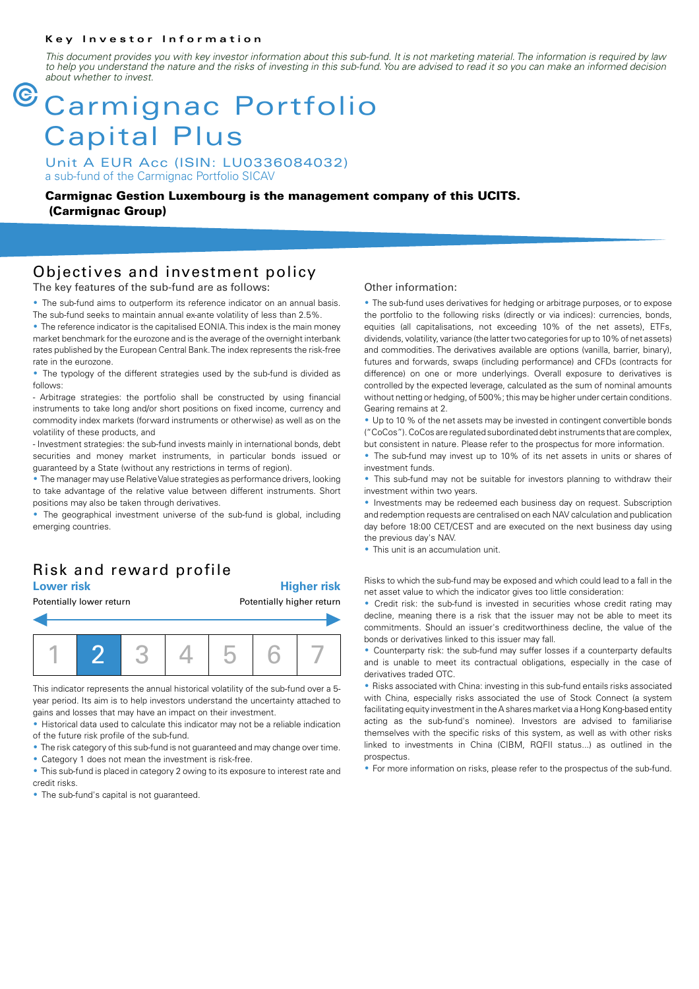#### **Key Investor Information**

*This document provides you with key investor information about this sub-fund. It is not marketing material. The information is required by law to help you understand the nature and the risks of investing in this sub-fund. You are advised to read it so you can make an informed decision about whether to invest.*

# **armignac Portfolio** Capital Plus

Unit A EUR Acc (ISIN: LU0336084032) a sub-fund of the Carmignac Portfolio SICAV

**Carmignac Gestion Luxembourg is the management company of this UCITS. (Carmignac Group)**

### Objectives and investment policy

The key features of the sub-fund are as follows:

• The sub-fund aims to outperform its reference indicator on an annual basis. The sub-fund seeks to maintain annual ex-ante volatility of less than 2.5%.

• The reference indicator is the capitalised EONIA. This index is the main money market benchmark for the eurozone and is the average of the overnight interbank rates published by the European Central Bank. The index represents the risk-free rate in the eurozone.

• The typology of the different strategies used by the sub-fund is divided as follows:

- Arbitrage strategies: the portfolio shall be constructed by using financial instruments to take long and/or short positions on fixed income, currency and commodity index markets (forward instruments or otherwise) as well as on the volatility of these products, and

- Investment strategies: the sub-fund invests mainly in international bonds, debt securities and money market instruments, in particular bonds issued or guaranteed by a State (without any restrictions in terms of region).

• The manager may use Relative Value strategies as performance drivers, looking to take advantage of the relative value between different instruments. Short positions may also be taken through derivatives.

• The geographical investment universe of the sub-fund is global, including emerging countries.

### Risk and reward profile

**Lower risk Higher risk**



This indicator represents the annual historical volatility of the sub-fund over a 5 year period. Its aim is to help investors understand the uncertainty attached to gains and losses that may have an impact on their investment.

2 Historical data used to calculate this indicator may not be a reliable indication of the future risk profile of the sub-fund.

• The risk category of this sub-fund is not guaranteed and may change over time. • Category 1 does not mean the investment is risk-free.

• This sub-fund is placed in category 2 owing to its exposure to interest rate and credit risks.

• The sub-fund's capital is not quaranteed.

### Other information:

• The sub-fund uses derivatives for hedging or arbitrage purposes, or to expose the portfolio to the following risks (directly or via indices): currencies, bonds, equities (all capitalisations, not exceeding 10% of the net assets), ETFs, dividends, volatility, variance (the latter two categories for up to 10% of net assets) and commodities. The derivatives available are options (vanilla, barrier, binary), futures and forwards, swaps (including performance) and CFDs (contracts for difference) on one or more underlyings. Overall exposure to derivatives is controlled by the expected leverage, calculated as the sum of nominal amounts without netting or hedging, of 500%; this may be higher under certain conditions. Gearing remains at 2.

• Up to 10 % of the net assets may be invested in contingent convertible bonds ("CoCos"). CoCos are regulated subordinated debt instruments that are complex, but consistent in nature. Please refer to the prospectus for more information.

• The sub-fund may invest up to 10% of its net assets in units or shares of investment funds.

• This sub-fund may not be suitable for investors planning to withdraw their investment within two years.

• Investments may be redeemed each business day on request. Subscription and redemption requests are centralised on each NAV calculation and publication day before 18:00 CET/CEST and are executed on the next business day using the previous day's NAV.

• This unit is an accumulation unit.

Risks to which the sub-fund may be exposed and which could lead to a fall in the net asset value to which the indicator gives too little consideration:

• Credit risk: the sub-fund is invested in securities whose credit rating may decline, meaning there is a risk that the issuer may not be able to meet its commitments. Should an issuer's creditworthiness decline, the value of the bonds or derivatives linked to this issuer may fall.

• Counterparty risk: the sub-fund may suffer losses if a counterparty defaults and is unable to meet its contractual obligations, especially in the case of derivatives traded OTC.

2 Risks associated with China: investing in this sub-fund entails risks associated with China, especially risks associated the use of Stock Connect (a system facilitating equity investment in the A shares market via a Hong Kong-based entity acting as the sub-fund's nominee). Investors are advised to familiarise themselves with the specific risks of this system, as well as with other risks linked to investments in China (CIBM, RQFII status...) as outlined in the prospectus.

• For more information on risks, please refer to the prospectus of the sub-fund.